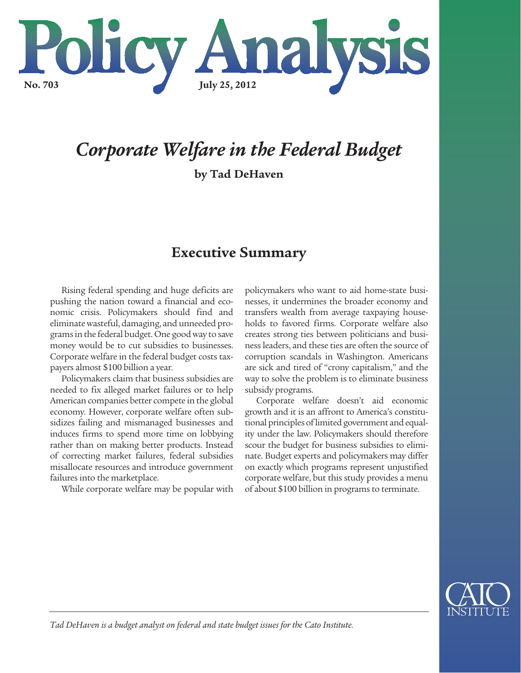

# *Corporate Welfare in the Federal Budget* **by Tad DeHaven**

# **Executive Summary**

Rising federal spending and huge deficits are pushing the nation toward a financial and economic crisis. Policymakers should find and eliminate wasteful, damaging, and unneeded programs in the federal budget. One good way to save money would be to cut subsidies to businesses. Corporate welfare in the federal budget costs taxpayers almost \$100 billion a year.

Policymakers claim that business subsidies are needed to fix alleged market failures or to help American companies better compete in the global economy. However, corporate welfare often subsidizes failing and mismanaged businesses and induces firms to spend more time on lobbying rather than on making better products. Instead of correcting market failures, federal subsidies misallocate resources and introduce government failures into the marketplace.

While corporate welfare may be popular with

policymakers who want to aid home-state businesses, it undermines the broader economy and transfers wealth from average taxpaying households to favored firms. Corporate welfare also creates strong ties between politicians and business leaders, and these ties are often the source of corruption scandals in Washington. Americans are sick and tired of "crony capitalism," and the way to solve the problem is to eliminate business subsidy programs.

Corporate welfare doesn't aid economic growth and it is an affront to America's constitutional principles of limited government and equality under the law. Policymakers should therefore scour the budget for business subsidies to eliminate. Budget experts and policymakers may differ on exactly which programs represent unjustified corporate welfare, but this study provides a menu of about \$100 billion in programs to terminate.



*Tad DeHaven is a budget analyst on federal and state budget issues for the Cato Institute.*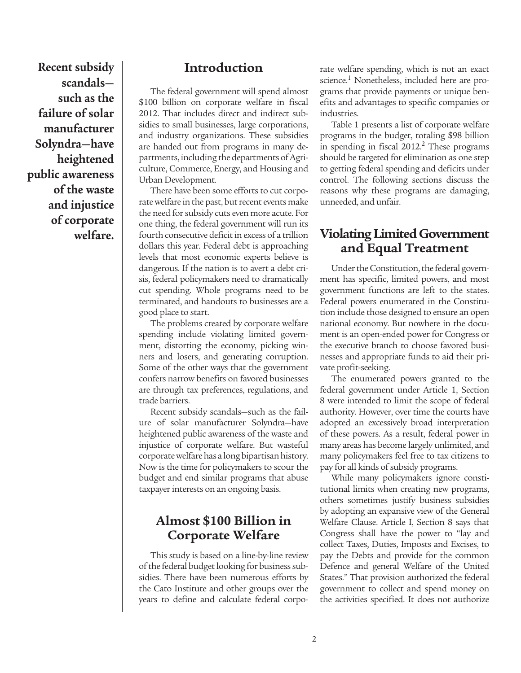**Recent subsidy scandals such as the failure of solar manufacturer Solyndra—have heightened public awareness of the waste and injustice of corporate welfare.** 

#### **Introduction**

The federal government will spend almost \$100 billion on corporate welfare in fiscal 2012. That includes direct and indirect subsidies to small businesses, large corporations, and industry organizations. These subsidies are handed out from programs in many departments, including the departments of Agriculture, Commerce, Energy, and Housing and Urban Development.

There have been some efforts to cut corporate welfare in the past, but recent events make the need for subsidy cuts even more acute. For one thing, the federal government will run its fourth consecutive deficit in excess of a trillion dollars this year. Federal debt is approaching levels that most economic experts believe is dangerous. If the nation is to avert a debt crisis, federal policymakers need to dramatically cut spending. Whole programs need to be terminated, and handouts to businesses are a good place to start.

The problems created by corporate welfare spending include violating limited government, distorting the economy, picking winners and losers, and generating corruption. Some of the other ways that the government confers narrow benefits on favored businesses are through tax preferences, regulations, and trade barriers.

Recent subsidy scandals—such as the failure of solar manufacturer Solyndra—have heightened public awareness of the waste and injustice of corporate welfare. But wasteful corporate welfare has a long bipartisan history. Now is the time for policymakers to scour the budget and end similar programs that abuse taxpayer interests on an ongoing basis.

## **Almost \$100 Billion in Corporate Welfare**

This study is based on a line-by-line review of the federal budget looking for business subsidies. There have been numerous efforts by the Cato Institute and other groups over the years to define and calculate federal corporate welfare spending, which is not an exact science.<sup>1</sup> Nonetheless, included here are programs that provide payments or unique benefits and advantages to specific companies or industries.

Table 1 presents a list of corporate welfare programs in the budget, totaling \$98 billion in spending in fiscal 2012.<sup>2</sup> These programs should be targeted for elimination as one step to getting federal spending and deficits under control. The following sections discuss the reasons why these programs are damaging, unneeded, and unfair.

### **Violating Limited Government and Equal Treatment**

Under the Constitution, the federal government has specific, limited powers, and most government functions are left to the states. Federal powers enumerated in the Constitution include those designed to ensure an open national economy. But nowhere in the document is an open-ended power for Congress or the executive branch to choose favored businesses and appropriate funds to aid their private profit-seeking.

The enumerated powers granted to the federal government under Article 1, Section 8 were intended to limit the scope of federal authority. However, over time the courts have adopted an excessively broad interpretation of these powers. As a result, federal power in many areas has become largely unlimited, and many policymakers feel free to tax citizens to pay for all kinds of subsidy programs.

While many policymakers ignore constitutional limits when creating new programs, others sometimes justify business subsidies by adopting an expansive view of the General Welfare Clause. Article I, Section 8 says that Congress shall have the power to "lay and collect Taxes, Duties, Imposts and Excises, to pay the Debts and provide for the common Defence and general Welfare of the United States." That provision authorized the federal government to collect and spend money on the activities specified. It does not authorize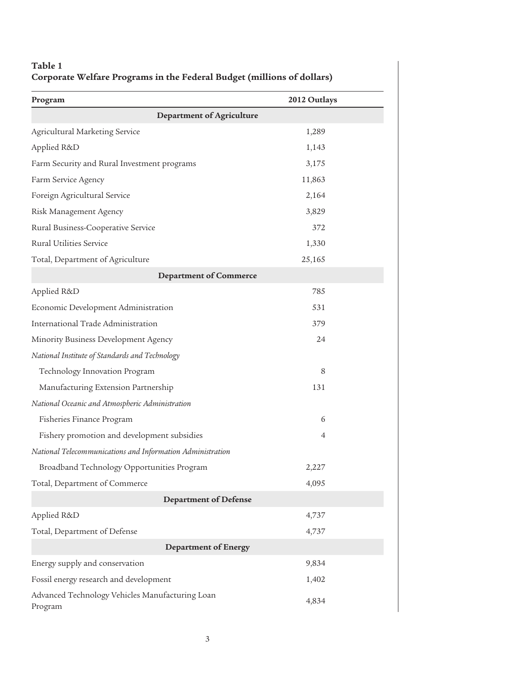| Table 1                                                                |  |
|------------------------------------------------------------------------|--|
| Corporate Welfare Programs in the Federal Budget (millions of dollars) |  |

| Program                                                    | 2012 Outlays |  |  |
|------------------------------------------------------------|--------------|--|--|
| <b>Department of Agriculture</b>                           |              |  |  |
| Agricultural Marketing Service                             | 1,289        |  |  |
| Applied R&D                                                | 1,143        |  |  |
| Farm Security and Rural Investment programs                | 3,175        |  |  |
| Farm Service Agency                                        | 11,863       |  |  |
| Foreign Agricultural Service                               | 2,164        |  |  |
| Risk Management Agency                                     | 3,829        |  |  |
| Rural Business-Cooperative Service                         | 372          |  |  |
| <b>Rural Utilities Service</b>                             | 1,330        |  |  |
| Total, Department of Agriculture                           | 25,165       |  |  |
| <b>Department of Commerce</b>                              |              |  |  |
| Applied R&D                                                | 785          |  |  |
| Economic Development Administration                        | 531          |  |  |
| International Trade Administration                         | 379          |  |  |
| Minority Business Development Agency                       | 24           |  |  |
| National Institute of Standards and Technology             |              |  |  |
| Technology Innovation Program                              | 8            |  |  |
| Manufacturing Extension Partnership                        | 131          |  |  |
| National Oceanic and Atmospheric Administration            |              |  |  |
| Fisheries Finance Program                                  | 6            |  |  |
| Fishery promotion and development subsidies                | 4            |  |  |
| National Telecommunications and Information Administration |              |  |  |
| Broadband Technology Opportunities Program                 | 2,227        |  |  |
| Total, Department of Commerce                              | 4,095        |  |  |
| <b>Department of Defense</b>                               |              |  |  |
| Applied R&D                                                | 4,737        |  |  |
| Total, Department of Defense                               | 4,737        |  |  |
| <b>Department of Energy</b>                                |              |  |  |
| Energy supply and conservation                             | 9,834        |  |  |
| Fossil energy research and development                     | 1,402        |  |  |
| Advanced Technology Vehicles Manufacturing Loan<br>Program | 4,834        |  |  |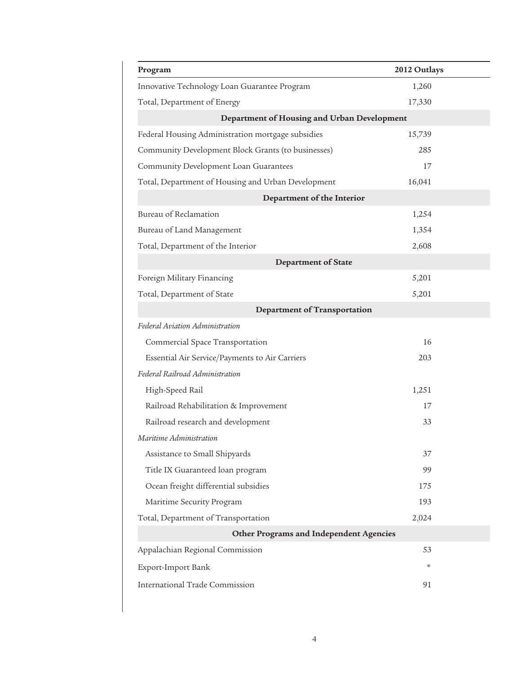| Program                                            | 2012 Outlays |  |  |  |
|----------------------------------------------------|--------------|--|--|--|
| Innovative Technology Loan Guarantee Program       | 1,260        |  |  |  |
| Total, Department of Energy                        | 17,330       |  |  |  |
| Department of Housing and Urban Development        |              |  |  |  |
| Federal Housing Administration mortgage subsidies  | 15,739       |  |  |  |
| Community Development Block Grants (to businesses) | 285          |  |  |  |
| Community Development Loan Guarantees              | 17           |  |  |  |
| Total, Department of Housing and Urban Development | 16,041       |  |  |  |
| Department of the Interior                         |              |  |  |  |
| Bureau of Reclamation                              | 1,254        |  |  |  |
| Bureau of Land Management                          | 1,354        |  |  |  |
| Total, Department of the Interior                  | 2,608        |  |  |  |
| <b>Department of State</b>                         |              |  |  |  |
| Foreign Military Financing                         | 5,201        |  |  |  |
| Total, Department of State                         | 5,201        |  |  |  |
| Department of Transportation                       |              |  |  |  |
| Federal Aviation Administration                    |              |  |  |  |
| Commercial Space Transportation                    | 16           |  |  |  |
| Essential Air Service/Payments to Air Carriers     | 203          |  |  |  |
| Federal Railroad Administration                    |              |  |  |  |
| High-Speed Rail                                    | 1,251        |  |  |  |
| Railroad Rehabilitation & Improvement              | 17           |  |  |  |
| Railroad research and development                  | 33           |  |  |  |
| Maritime Administration                            |              |  |  |  |
| Assistance to Small Shipyards                      | 37           |  |  |  |
| Title IX Guaranteed loan program                   | 99           |  |  |  |
| Ocean freight differential subsidies               | 175          |  |  |  |
| Maritime Security Program                          | 193          |  |  |  |
| Total, Department of Transportation                | 2,024        |  |  |  |
| Other Programs and Independent Agencies            |              |  |  |  |
| Appalachian Regional Commission                    | 53           |  |  |  |
| Export-Import Bank                                 | ⋇            |  |  |  |
| International Trade Commission                     | 91           |  |  |  |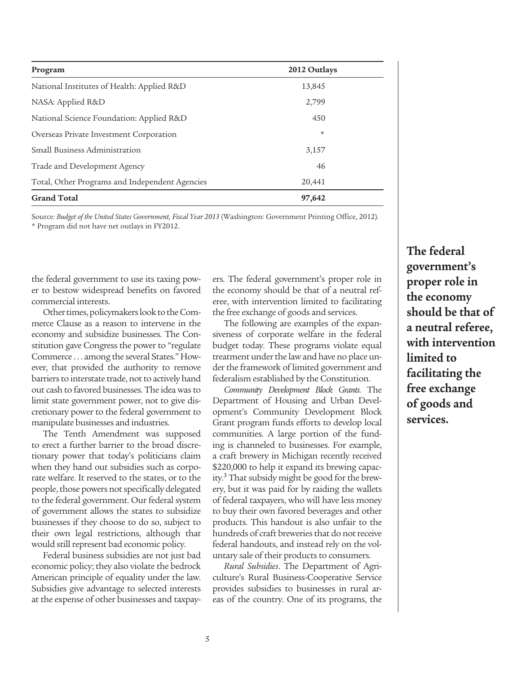| Program                                        | 2012 Outlays |
|------------------------------------------------|--------------|
| National Institutes of Health: Applied R&D     | 13,845       |
| NASA: Applied R&D                              | 2,799        |
| National Science Foundation: Applied R&D       | 450          |
| Overseas Private Investment Corporation        | ⋇            |
| Small Business Administration                  | 3,157        |
| Trade and Development Agency                   | 46           |
| Total, Other Programs and Independent Agencies | 20,441       |
| <b>Grand Total</b>                             | 97,642       |

Source: Budget of the United States Government, Fiscal Year 2013 (Washington: Government Printing Office, 2012). \* Program did not have net outlays in FY2012.

the federal government to use its taxing power to bestow widespread benefits on favored commercial interests.

Other times, policymakers look to the Commerce Clause as a reason to intervene in the economy and subsidize businesses. The Constitution gave Congress the power to "regulate Commerce . . . among the several States." However, that provided the authority to remove barriers to interstate trade, not to actively hand out cash to favored businesses. The idea was to limit state government power, not to give discretionary power to the federal government to manipulate businesses and industries.

The Tenth Amendment was supposed to erect a further barrier to the broad discretionary power that today's politicians claim when they hand out subsidies such as corporate welfare. It reserved to the states, or to the people, those powers not specifically delegated to the federal government. Our federal system of government allows the states to subsidize businesses if they choose to do so, subject to their own legal restrictions, although that would still represent bad economic policy.

Federal business subsidies are not just bad economic policy; they also violate the bedrock American principle of equality under the law. Subsidies give advantage to selected interests at the expense of other businesses and taxpayers. The federal government's proper role in the economy should be that of a neutral referee, with intervention limited to facilitating the free exchange of goods and services.

The following are examples of the expansiveness of corporate welfare in the federal budget today. These programs violate equal treatment under the law and have no place under the framework of limited government and federalism established by the Constitution.

*Community Development Block Grants.* The Department of Housing and Urban Development's Community Development Block Grant program funds efforts to develop local communities. A large portion of the funding is channeled to businesses. For example, a craft brewery in Michigan recently received \$220,000 to help it expand its brewing capacity.3 That subsidy might be good for the brewery, but it was paid for by raiding the wallets of federal taxpayers, who will have less money to buy their own favored beverages and other products. This handout is also unfair to the hundreds of craft breweries that do not receive federal handouts, and instead rely on the voluntary sale of their products to consumers.

*Rural Subsidies*. The Department of Agriculture's Rural Business-Cooperative Service provides subsidies to businesses in rural areas of the country. One of its programs, the

**The federal government's proper role in the economy should be that of a neutral referee, with intervention limited to facilitating the free exchange of goods and services.**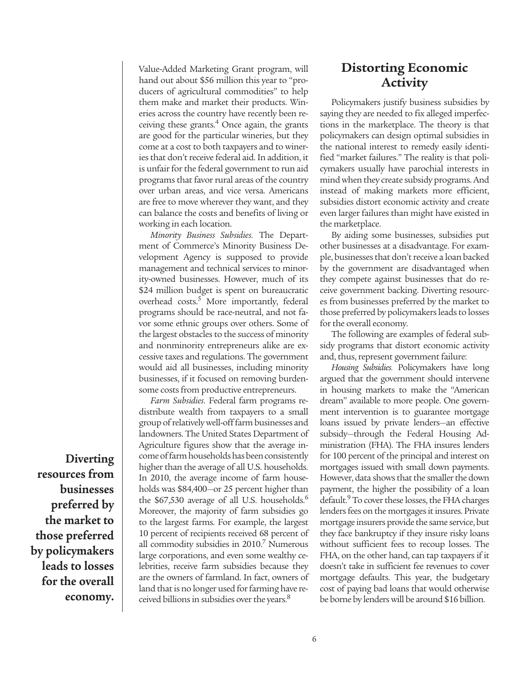Value-Added Marketing Grant program, will hand out about \$56 million this year to "producers of agricultural commodities" to help them make and market their products. Wineries across the country have recently been receiving these grants.<sup>4</sup> Once again, the grants are good for the particular wineries, but they come at a cost to both taxpayers and to wineries that don't receive federal aid. In addition, it is unfair for the federal government to run aid programs that favor rural areas of the country over urban areas, and vice versa. Americans are free to move wherever they want, and they can balance the costs and benefits of living or working in each location.

*Minority Business Subsidies.* The Department of Commerce's Minority Business Development Agency is supposed to provide management and technical services to minority-owned businesses. However, much of its \$24 million budget is spent on bureaucratic overhead costs.<sup>5</sup> More importantly, federal programs should be race-neutral, and not favor some ethnic groups over others. Some of the largest obstacles to the success of minority and nonminority entrepreneurs alike are excessive taxes and regulations. The government would aid all businesses, including minority businesses, if it focused on removing burdensome costs from productive entrepreneurs.

*Farm Subsidies.* Federal farm programs redistribute wealth from taxpayers to a small group of relatively well-off farm businesses and landowners. The United States Department of Agriculture figures show that the average income of farm households has been consistently higher than the average of all U.S. households. In 2010, the average income of farm households was \$84,400—or 25 percent higher than the  $$67,530$  average of all U.S. households.<sup>6</sup> Moreover, the majority of farm subsidies go to the largest farms. For example, the largest 10 percent of recipients received 68 percent of all commodity subsidies in 2010.<sup>7</sup> Numerous large corporations, and even some wealthy celebrities, receive farm subsidies because they are the owners of farmland. In fact, owners of land that is no longer used for farming have received billions in subsidies over the years.<sup>8</sup>

### **Distorting Economic Activity**

Policymakers justify business subsidies by saying they are needed to fix alleged imperfections in the marketplace. The theory is that policymakers can design optimal subsidies in the national interest to remedy easily identified "market failures." The reality is that policymakers usually have parochial interests in mind when they create subsidy programs. And instead of making markets more efficient, subsidies distort economic activity and create even larger failures than might have existed in the marketplace.

By aiding some businesses, subsidies put other businesses at a disadvantage. For example, businesses that don't receive a loan backed by the government are disadvantaged when they compete against businesses that do receive government backing. Diverting resources from businesses preferred by the market to those preferred by policymakers leads to losses for the overall economy.

The following are examples of federal subsidy programs that distort economic activity and, thus, represent government failure:

*Housing Subsidies.* Policymakers have long argued that the government should intervene in housing markets to make the "American dream" available to more people. One government intervention is to guarantee mortgage loans issued by private lenders—an effective subsidy—through the Federal Housing Administration (FHA). The FHA insures lenders for 100 percent of the principal and interest on mortgages issued with small down payments. However, data shows that the smaller the down payment, the higher the possibility of a loan default.<sup>9</sup> To cover these losses, the FHA charges lenders fees on the mortgages it insures. Private mortgage insurers provide the same service, but they face bankruptcy if they insure risky loans without sufficient fees to recoup losses. The FHA, on the other hand, can tap taxpayers if it doesn't take in sufficient fee revenues to cover mortgage defaults. This year, the budgetary cost of paying bad loans that would otherwise be borne by lenders will be around \$16 billion.

**Diverting resources from businesses preferred by the market to those preferred by policymakers leads to losses for the overall economy.**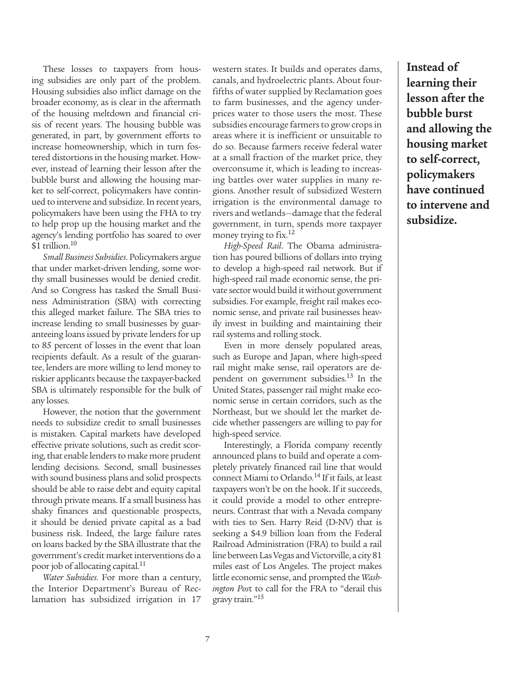These losses to taxpayers from housing subsidies are only part of the problem. Housing subsidies also inflict damage on the broader economy, as is clear in the aftermath of the housing meltdown and financial crisis of recent years. The housing bubble was generated, in part, by government efforts to increase homeownership, which in turn fostered distortions in the housing market. However, instead of learning their lesson after the bubble burst and allowing the housing market to self-correct, policymakers have continued to intervene and subsidize. In recent years, policymakers have been using the FHA to try to help prop up the housing market and the agency's lending portfolio has soared to over \$1 trillion.<sup>10</sup>

*Small Business Subsidies*. Policymakers argue that under market-driven lending, some worthy small businesses would be denied credit. And so Congress has tasked the Small Business Administration (SBA) with correcting this alleged market failure. The SBA tries to increase lending to small businesses by guaranteeing loans issued by private lenders for up to 85 percent of losses in the event that loan recipients default. As a result of the guarantee, lenders are more willing to lend money to riskier applicants because the taxpayer-backed SBA is ultimately responsible for the bulk of any losses.

However, the notion that the government needs to subsidize credit to small businesses is mistaken. Capital markets have developed effective private solutions, such as credit scoring, that enable lenders to make more prudent lending decisions. Second, small businesses with sound business plans and solid prospects should be able to raise debt and equity capital through private means. If a small business has shaky finances and questionable prospects, it should be denied private capital as a bad business risk. Indeed, the large failure rates on loans backed by the SBA illustrate that the government's credit market interventions do a poor job of allocating capital.<sup>11</sup>

*Water Subsidies.* For more than a century, the Interior Department's Bureau of Reclamation has subsidized irrigation in 17 western states. It builds and operates dams, canals, and hydroelectric plants. About fourfifths of water supplied by Reclamation goes to farm businesses, and the agency underprices water to those users the most. These subsidies encourage farmers to grow crops in areas where it is inefficient or unsuitable to do so. Because farmers receive federal water at a small fraction of the market price, they overconsume it, which is leading to increasing battles over water supplies in many regions. Another result of subsidized Western irrigation is the environmental damage to rivers and wetlands—damage that the federal government, in turn, spends more taxpayer money trying to fix.<sup>12</sup>

*High-Speed Rail*. The Obama administration has poured billions of dollars into trying to develop a high-speed rail network. But if high-speed rail made economic sense, the private sector would build it without government subsidies. For example, freight rail makes economic sense, and private rail businesses heavily invest in building and maintaining their rail systems and rolling stock.

Even in more densely populated areas, such as Europe and Japan, where high-speed rail might make sense, rail operators are dependent on government subsidies.<sup>13</sup> In the United States, passenger rail might make economic sense in certain corridors, such as the Northeast, but we should let the market decide whether passengers are willing to pay for high-speed service.

Interestingly, a Florida company recently announced plans to build and operate a completely privately financed rail line that would connect Miami to Orlando.<sup>14</sup> If it fails, at least taxpayers won't be on the hook. If it succeeds, it could provide a model to other entrepreneurs. Contrast that with a Nevada company with ties to Sen. Harry Reid (D-NV) that is seeking a \$4.9 billion loan from the Federal Railroad Administration (FRA) to build a rail line between Las Vegas and Victorville, a city 81 miles east of Los Angeles. The project makes little economic sense, and prompted the *Washington Pos*t to call for the FRA to "derail this gravy train."<sup>15</sup>

**Instead of learning their lesson after the bubble burst and allowing the housing market to self-correct, policymakers have continued to intervene and subsidize.**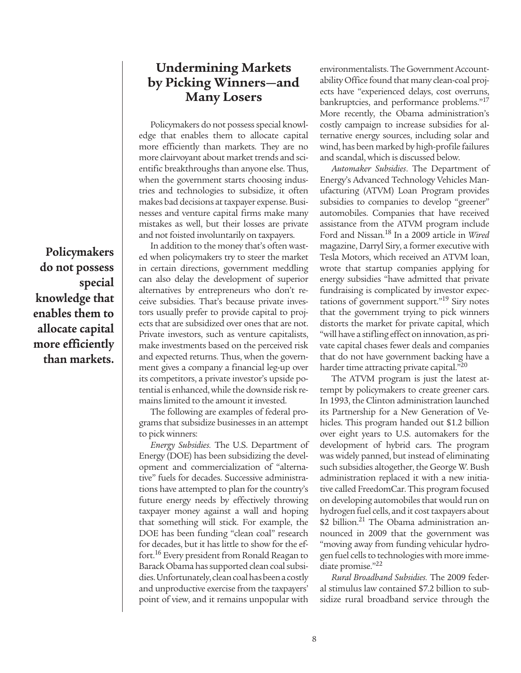**Policymakers do not possess special knowledge that enables them to allocate capital more efficiently than markets.** 

### **Undermining Markets by Picking Winners—and Many Losers**

Policymakers do not possess special knowledge that enables them to allocate capital more efficiently than markets. They are no more clairvoyant about market trends and scientific breakthroughs than anyone else. Thus, when the government starts choosing industries and technologies to subsidize, it often makes bad decisions at taxpayer expense. Businesses and venture capital firms make many mistakes as well, but their losses are private and not foisted involuntarily on taxpayers.

In addition to the money that's often wasted when policymakers try to steer the market in certain directions, government meddling can also delay the development of superior alternatives by entrepreneurs who don't receive subsidies. That's because private investors usually prefer to provide capital to projects that are subsidized over ones that are not. Private investors, such as venture capitalists, make investments based on the perceived risk and expected returns. Thus, when the government gives a company a financial leg-up over its competitors, a private investor's upside potential is enhanced, while the downside risk remains limited to the amount it invested.

The following are examples of federal programs that subsidize businesses in an attempt to pick winners:

*Energy Subsidies.* The U.S. Department of Energy (DOE) has been subsidizing the development and commercialization of "alternative" fuels for decades. Successive administrations have attempted to plan for the country's future energy needs by effectively throwing taxpayer money against a wall and hoping that something will stick. For example, the DOE has been funding "clean coal" research for decades, but it has little to show for the effort.<sup>16</sup> Every president from Ronald Reagan to Barack Obama has supported clean coal subsidies. Unfortunately, clean coal has been a costly and unproductive exercise from the taxpayers' point of view, and it remains unpopular with

environmentalists. The Government Accountability Office found that many clean-coal projects have "experienced delays, cost overruns, bankruptcies, and performance problems."<sup>17</sup> More recently, the Obama administration's costly campaign to increase subsidies for alternative energy sources, including solar and wind, has been marked by high-profile failures and scandal, which is discussed below.

*Automaker Subsidies*. The Department of Energy's Advanced Technology Vehicles Manufacturing (ATVM) Loan Program provides subsidies to companies to develop "greener" automobiles. Companies that have received assistance from the ATVM program include Ford and Nissan.18 In a 2009 article in *Wired* magazine, Darryl Siry, a former executive with Tesla Motors, which received an ATVM loan, wrote that startup companies applying for energy subsidies "have admitted that private fundraising is complicated by investor expectations of government support."<sup>19</sup> Siry notes that the government trying to pick winners distorts the market for private capital, which "will have a stifling effect on innovation, as private capital chases fewer deals and companies that do not have government backing have a harder time attracting private capital."<sup>20</sup>

The ATVM program is just the latest attempt by policymakers to create greener cars. In 1993, the Clinton administration launched its Partnership for a New Generation of Vehicles. This program handed out \$1.2 billion over eight years to U.S. automakers for the development of hybrid cars. The program was widely panned, but instead of eliminating such subsidies altogether, the George W. Bush administration replaced it with a new initiative called FreedomCar. This program focused on developing automobiles that would run on hydrogen fuel cells, and it cost taxpayers about \$2 billion.<sup>21</sup> The Obama administration announced in 2009 that the government was "moving away from funding vehicular hydrogen fuel cells to technologies with more immediate promise."22

*Rural Broadband Subsidies.* The 2009 federal stimulus law contained \$7.2 billion to subsidize rural broadband service through the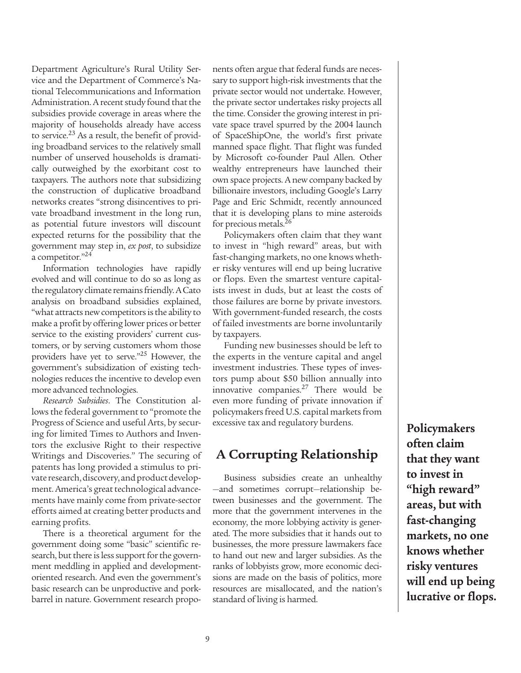Department Agriculture's Rural Utility Service and the Department of Commerce's National Telecommunications and Information Administration. A recent study found that the subsidies provide coverage in areas where the majority of households already have access to service. $^{23}$  As a result, the benefit of providing broadband services to the relatively small number of unserved households is dramatically outweighed by the exorbitant cost to taxpayers. The authors note that subsidizing the construction of duplicative broadband networks creates "strong disincentives to private broadband investment in the long run, as potential future investors will discount expected returns for the possibility that the government may step in, *ex post*, to subsidize a competitor."<sup>24</sup>

Information technologies have rapidly evolved and will continue to do so as long as the regulatory climate remains friendly. A Cato analysis on broadband subsidies explained, "what attracts new competitors is the ability to make a profit by offering lower prices or better service to the existing providers' current customers, or by serving customers whom those providers have yet to serve."<sup>25</sup> However, the government's subsidization of existing technologies reduces the incentive to develop even more advanced technologies.

*Research Subsidies*. The Constitution allows the federal government to "promote the Progress of Science and useful Arts, by securing for limited Times to Authors and Inventors the exclusive Right to their respective Writings and Discoveries." The securing of patents has long provided a stimulus to private research, discovery, and product development. America's great technological advancements have mainly come from private-sector efforts aimed at creating better products and earning profits.

There is a theoretical argument for the government doing some "basic" scientific research, but there is less support for the government meddling in applied and developmentoriented research. And even the government's basic research can be unproductive and porkbarrel in nature. Government research proponents often argue that federal funds are necessary to support high-risk investments that the private sector would not undertake. However, the private sector undertakes risky projects all the time. Consider the growing interest in private space travel spurred by the 2004 launch of SpaceShipOne, the world's first private manned space flight. That flight was funded by Microsoft co-founder Paul Allen. Other wealthy entrepreneurs have launched their own space projects. A new company backed by billionaire investors, including Google's Larry Page and Eric Schmidt, recently announced that it is developing plans to mine asteroids for precious metals.26

Policymakers often claim that they want to invest in "high reward" areas, but with fast-changing markets, no one knows whether risky ventures will end up being lucrative or flops. Even the smartest venture capitalists invest in duds, but at least the costs of those failures are borne by private investors. With government-funded research, the costs of failed investments are borne involuntarily by taxpayers.

Funding new businesses should be left to the experts in the venture capital and angel investment industries. These types of investors pump about \$50 billion annually into innovative companies. $27$  There would be even more funding of private innovation if policymakers freed U.S. capital markets from excessive tax and regulatory burdens.

# **A Corrupting Relationship**

Business subsidies create an unhealthy —and sometimes corrupt—relationship between businesses and the government. The more that the government intervenes in the economy, the more lobbying activity is generated. The more subsidies that it hands out to businesses, the more pressure lawmakers face to hand out new and larger subsidies. As the ranks of lobbyists grow, more economic decisions are made on the basis of politics, more resources are misallocated, and the nation's standard of living is harmed.

**Policymakers often claim that they want to invest in "high reward" areas, but with fast-changing markets, no one knows whether risky ventures will end up being lucrative or flops.**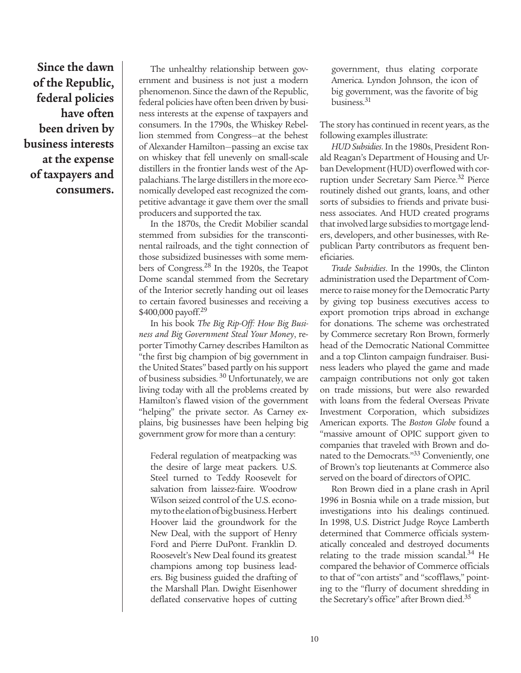**Since the dawn of the Republic, federal policies have often been driven by business interests at the expense of taxpayers and consumers.** 

The unhealthy relationship between government and business is not just a modern phenomenon. Since the dawn of the Republic, federal policies have often been driven by business interests at the expense of taxpayers and consumers. In the 1790s, the Whiskey Rebellion stemmed from Congress—at the behest of Alexander Hamilton—passing an excise tax on whiskey that fell unevenly on small-scale distillers in the frontier lands west of the Appalachians. The large distillers in the more economically developed east recognized the competitive advantage it gave them over the small producers and supported the tax.

In the 1870s, the Credit Mobilier scandal stemmed from subsidies for the transcontinental railroads, and the tight connection of those subsidized businesses with some members of Congress.28 In the 1920s, the Teapot Dome scandal stemmed from the Secretary of the Interior secretly handing out oil leases to certain favored businesses and receiving a \$400,000 payoff.<sup>29</sup>

In his book *The Big Rip-Off: How Big Business and Big Government Steal Your Money*, reporter Timothy Carney describes Hamilton as "the first big champion of big government in the United States" based partly on his support of business subsidies. 30 Unfortunately, we are living today with all the problems created by Hamilton's flawed vision of the government "helping" the private sector. As Carney explains, big businesses have been helping big government grow for more than a century:

Federal regulation of meatpacking was the desire of large meat packers. U.S. Steel turned to Teddy Roosevelt for salvation from laissez-faire. Woodrow Wilson seized control of the U.S. economy to the elation of big business. Herbert Hoover laid the groundwork for the New Deal, with the support of Henry Ford and Pierre DuPont. Franklin D. Roosevelt's New Deal found its greatest champions among top business leaders. Big business guided the drafting of the Marshall Plan. Dwight Eisenhower deflated conservative hopes of cutting government, thus elating corporate America. Lyndon Johnson, the icon of big government, was the favorite of big business.31

The story has continued in recent years, as the following examples illustrate:

*HUD Subsidies*. In the 1980s, President Ronald Reagan's Department of Housing and Urban Development (HUD) overflowed with corruption under Secretary Sam Pierce.<sup>32</sup> Pierce routinely dished out grants, loans, and other sorts of subsidies to friends and private business associates. And HUD created programs that involved large subsidies to mortgage lenders, developers, and other businesses, with Republican Party contributors as frequent beneficiaries.

*Trade Subsidies*. In the 1990s, the Clinton administration used the Department of Commerce to raise money for the Democratic Party by giving top business executives access to export promotion trips abroad in exchange for donations. The scheme was orchestrated by Commerce secretary Ron Brown, formerly head of the Democratic National Committee and a top Clinton campaign fundraiser. Business leaders who played the game and made campaign contributions not only got taken on trade missions, but were also rewarded with loans from the federal Overseas Private Investment Corporation, which subsidizes American exports. The *Boston Globe* found a "massive amount of OPIC support given to companies that traveled with Brown and donated to the Democrats."<sup>33</sup> Conveniently, one of Brown's top lieutenants at Commerce also served on the board of directors of OPIC.

Ron Brown died in a plane crash in April 1996 in Bosnia while on a trade mission, but investigations into his dealings continued. In 1998, U.S. District Judge Royce Lamberth determined that Commerce officials systematically concealed and destroyed documents relating to the trade mission scandal.<sup>34</sup> He compared the behavior of Commerce officials to that of "con artists" and "scofflaws," pointing to the "flurry of document shredding in the Secretary's office" after Brown died.<sup>35</sup>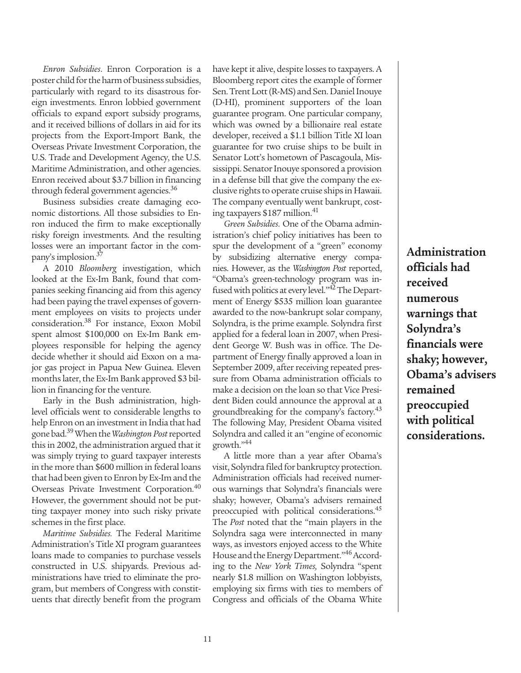*Enron Subsidies*. Enron Corporation is a poster child for the harm of business subsidies, particularly with regard to its disastrous foreign investments. Enron lobbied government officials to expand export subsidy programs, and it received billions of dollars in aid for its projects from the Export-Import Bank, the Overseas Private Investment Corporation, the U.S. Trade and Development Agency, the U.S. Maritime Administration, and other agencies. Enron received about \$3.7 billion in financing through federal government agencies.<sup>36</sup>

Business subsidies create damaging economic distortions. All those subsidies to Enron induced the firm to make exceptionally risky foreign investments. And the resulting losses were an important factor in the company's implosion.<sup>37</sup>

A 2010 *Bloomberg* investigation, which looked at the Ex-Im Bank, found that companies seeking financing aid from this agency had been paying the travel expenses of government employees on visits to projects under consideration.38 For instance, Exxon Mobil spent almost \$100,000 on Ex-Im Bank employees responsible for helping the agency decide whether it should aid Exxon on a major gas project in Papua New Guinea. Eleven months later, the Ex-Im Bank approved \$3 billion in financing for the venture.

Early in the Bush administration, highlevel officials went to considerable lengths to help Enron on an investment in India that had gone bad.39 When the *Washington Post* reported this in 2002, the administration argued that it was simply trying to guard taxpayer interests in the more than \$600 million in federal loans that had been given to Enron by Ex-Im and the Overseas Private Investment Corporation.<sup>40</sup> However, the government should not be putting taxpayer money into such risky private schemes in the first place.

*Maritime Subsidies.* The Federal Maritime Administration's Title XI program guarantees loans made to companies to purchase vessels constructed in U.S. shipyards. Previous administrations have tried to eliminate the program, but members of Congress with constituents that directly benefit from the program have kept it alive, despite losses to taxpayers. A Bloomberg report cites the example of former Sen. Trent Lott (R-MS) and Sen. Daniel Inouye (D-HI), prominent supporters of the loan guarantee program. One particular company, which was owned by a billionaire real estate developer, received a \$1.1 billion Title XI loan guarantee for two cruise ships to be built in Senator Lott's hometown of Pascagoula, Mississippi. Senator Inouye sponsored a provision in a defense bill that give the company the exclusive rights to operate cruise ships in Hawaii. The company eventually went bankrupt, costing taxpayers \$187 million.41

*Green Subsidies.* One of the Obama administration's chief policy initiatives has been to spur the development of a "green" economy by subsidizing alternative energy companies. However, as the *Washington Post* reported, "Obama's green-technology program was infused with politics at every level."<sup>42</sup> The Department of Energy \$535 million loan guarantee awarded to the now-bankrupt solar company, Solyndra, is the prime example. Solyndra first applied for a federal loan in 2007, when President George W. Bush was in office. The Department of Energy finally approved a loan in September 2009, after receiving repeated pressure from Obama administration officials to make a decision on the loan so that Vice President Biden could announce the approval at a groundbreaking for the company's factory.<sup>43</sup> The following May, President Obama visited Solyndra and called it an "engine of economic growth."44

A little more than a year after Obama's visit, Solyndra filed for bankruptcy protection. Administration officials had received numerous warnings that Solyndra's financials were shaky; however, Obama's advisers remained preoccupied with political considerations.<sup>45</sup> The *Post* noted that the "main players in the Solyndra saga were interconnected in many ways, as investors enjoyed access to the White House and the Energy Department."46 According to the *New York Times,* Solyndra "spent nearly \$1.8 million on Washington lobbyists, employing six firms with ties to members of Congress and officials of the Obama White

**Administration officials had received numerous warnings that Solyndra's financials were shaky; however, Obama's advisers remained preoccupied with political considerations.**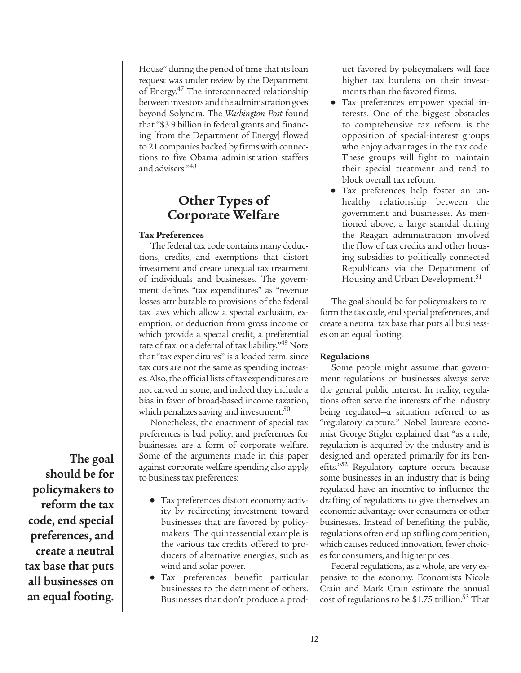House" during the period of time that its loan request was under review by the Department of Energy.<sup>47</sup> The interconnected relationship between investors and the administration goes beyond Solyndra. The *Washington Post* found that "\$3.9 billion in federal grants and financing [from the Department of Energy] flowed to 21 companies backed by firms with connections to five Obama administration staffers and advisers."48

# **Other Types of Corporate Welfare**

#### **Tax Preferences**

The federal tax code contains many deductions, credits, and exemptions that distort investment and create unequal tax treatment of individuals and businesses. The government defines "tax expenditures" as "revenue losses attributable to provisions of the federal tax laws which allow a special exclusion, exemption, or deduction from gross income or which provide a special credit, a preferential rate of tax, or a deferral of tax liability."<sup>49</sup> Note that "tax expenditures" is a loaded term, since tax cuts are not the same as spending increases. Also, the official lists of tax expenditures are not carved in stone, and indeed they include a bias in favor of broad-based income taxation, which penalizes saving and investment.<sup>50</sup>

Nonetheless, the enactment of special tax preferences is bad policy, and preferences for businesses are a form of corporate welfare. Some of the arguments made in this paper against corporate welfare spending also apply to business tax preferences:

- **●** Tax preferences distort economy activity by redirecting investment toward businesses that are favored by policymakers. The quintessential example is the various tax credits offered to producers of alternative energies, such as wind and solar power.
- **●** Tax preferences benefit particular businesses to the detriment of others. Businesses that don't produce a prod-

uct favored by policymakers will face higher tax burdens on their investments than the favored firms.

- **●** Tax preferences empower special interests. One of the biggest obstacles to comprehensive tax reform is the opposition of special-interest groups who enjoy advantages in the tax code. These groups will fight to maintain their special treatment and tend to block overall tax reform.
- **●** Tax preferences help foster an unhealthy relationship between the government and businesses. As mentioned above, a large scandal during the Reagan administration involved the flow of tax credits and other housing subsidies to politically connected Republicans via the Department of Housing and Urban Development.<sup>51</sup>

The goal should be for policymakers to reform the tax code, end special preferences, and create a neutral tax base that puts all businesses on an equal footing.

#### **Regulations**

Some people might assume that government regulations on businesses always serve the general public interest. In reality, regulations often serve the interests of the industry being regulated—a situation referred to as "regulatory capture." Nobel laureate economist George Stigler explained that "as a rule, regulation is acquired by the industry and is designed and operated primarily for its benefits."<sup>52</sup> Regulatory capture occurs because some businesses in an industry that is being regulated have an incentive to influence the drafting of regulations to give themselves an economic advantage over consumers or other businesses. Instead of benefiting the public, regulations often end up stifling competition, which causes reduced innovation, fewer choices for consumers, and higher prices.

Federal regulations, as a whole, are very expensive to the economy. Economists Nicole Crain and Mark Crain estimate the annual cost of regulations to be \$1.75 trillion.<sup>53</sup> That

**The goal should be for policymakers to reform the tax code, end special preferences, and create a neutral tax base that puts all businesses on an equal footing.**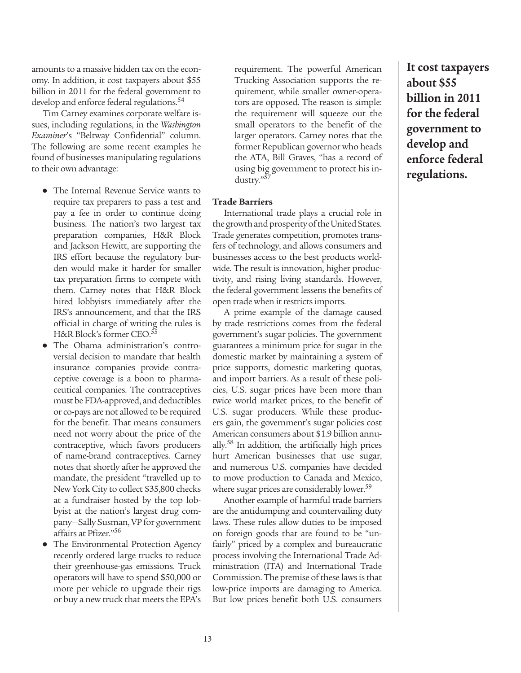amounts to a massive hidden tax on the economy. In addition, it cost taxpayers about \$55 billion in 2011 for the federal government to develop and enforce federal regulations.<sup>54</sup>

Tim Carney examines corporate welfare issues, including regulations, in the *Washington Examiner*'s "Beltway Confidential" column. The following are some recent examples he found of businesses manipulating regulations to their own advantage:

- **●** The Internal Revenue Service wants to require tax preparers to pass a test and pay a fee in order to continue doing business. The nation's two largest tax preparation companies, H&R Block and Jackson Hewitt, are supporting the IRS effort because the regulatory burden would make it harder for smaller tax preparation firms to compete with them. Carney notes that H&R Block hired lobbyists immediately after the IRS's announcement, and that the IRS official in charge of writing the rules is H&R Block's former CEO.55
- **●** The Obama administration's controversial decision to mandate that health insurance companies provide contraceptive coverage is a boon to pharmaceutical companies. The contraceptives must be FDA-approved, and deductibles or co-pays are not allowed to be required for the benefit. That means consumers need not worry about the price of the contraceptive, which favors producers of name-brand contraceptives. Carney notes that shortly after he approved the mandate, the president "travelled up to New York City to collect \$35,800 checks at a fundraiser hosted by the top lobbyist at the nation's largest drug company—Sally Susman, VP for government affairs at Pfizer."56
- **●** The Environmental Protection Agency recently ordered large trucks to reduce their greenhouse-gas emissions. Truck operators will have to spend \$50,000 or more per vehicle to upgrade their rigs or buy a new truck that meets the EPA's

requirement. The powerful American Trucking Association supports the requirement, while smaller owner-operators are opposed. The reason is simple: the requirement will squeeze out the small operators to the benefit of the larger operators. Carney notes that the former Republican governor who heads the ATA, Bill Graves, "has a record of using big government to protect his industry."57

#### **Trade Barriers**

International trade plays a crucial role in the growth and prosperity of the United States. Trade generates competition, promotes transfers of technology, and allows consumers and businesses access to the best products worldwide. The result is innovation, higher productivity, and rising living standards. However, the federal government lessens the benefits of open trade when it restricts imports.

A prime example of the damage caused by trade restrictions comes from the federal government's sugar policies. The government guarantees a minimum price for sugar in the domestic market by maintaining a system of price supports, domestic marketing quotas, and import barriers. As a result of these policies, U.S. sugar prices have been more than twice world market prices, to the benefit of U.S. sugar producers. While these producers gain, the government's sugar policies cost American consumers about \$1.9 billion annually.58 In addition, the artificially high prices hurt American businesses that use sugar, and numerous U.S. companies have decided to move production to Canada and Mexico, where sugar prices are considerably lower.<sup>59</sup>

Another example of harmful trade barriers are the antidumping and countervailing duty laws. These rules allow duties to be imposed on foreign goods that are found to be "unfairly" priced by a complex and bureaucratic process involving the International Trade Administration (ITA) and International Trade Commission. The premise of these laws is that low-price imports are damaging to America. But low prices benefit both U.S. consumers

**It cost taxpayers about \$55 billion in 2011 for the federal government to develop and enforce federal regulations.**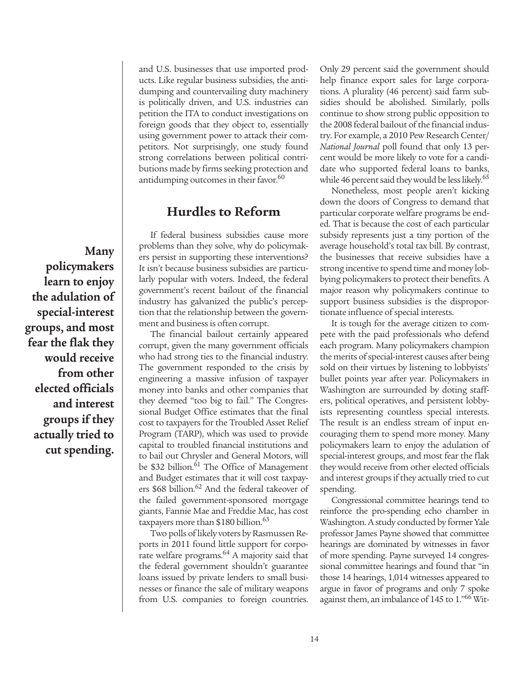and U.S. businesses that use imported products. Like regular business subsidies, the antidumping and countervailing duty machinery is politically driven, and U.S. industries can petition the ITA to conduct investigations on foreign goods that they object to, essentially using government power to attack their competitors. Not surprisingly, one study found strong correlations between political contributions made by firms seeking protection and antidumping outcomes in their favor.<sup>60</sup>

### **Hurdles to Reform**

If federal business subsidies cause more problems than they solve, why do policymakers persist in supporting these interventions? It isn't because business subsidies are particularly popular with voters. Indeed, the federal government's recent bailout of the financial industry has galvanized the public's perception that the relationship between the government and business is often corrupt.

The financial bailout certainly appeared corrupt, given the many government officials who had strong ties to the financial industry. The government responded to the crisis by engineering a massive infusion of taxpayer money into banks and other companies that they deemed "too big to fail." The Congressional Budget Office estimates that the final cost to taxpayers for the Troubled Asset Relief Program (TARP), which was used to provide capital to troubled financial institutions and to bail out Chrysler and General Motors, will be \$32 billion.<sup>61</sup> The Office of Management and Budget estimates that it will cost taxpayers \$68 billion.<sup>62</sup> And the federal takeover of the failed government-sponsored mortgage giants, Fannie Mae and Freddie Mac, has cost taxpayers more than \$180 billion.<sup>63</sup>

Two polls of likely voters by Rasmussen Reports in 2011 found little support for corporate welfare programs.<sup>64</sup> A majority said that the federal government shouldn't guarantee loans issued by private lenders to small businesses or finance the sale of military weapons from U.S. companies to foreign countries. Only 29 percent said the government should help finance export sales for large corporations. A plurality (46 percent) said farm subsidies should be abolished. Similarly, polls continue to show strong public opposition to the 2008 federal bailout of the financial industry. For example, a 2010 Pew Research Center/ *National Journal* poll found that only 13 percent would be more likely to vote for a candidate who supported federal loans to banks, while 46 percent said they would be less likely.<sup>65</sup>

Nonetheless, most people aren't kicking down the doors of Congress to demand that particular corporate welfare programs be ended. That is because the cost of each particular subsidy represents just a tiny portion of the average household's total tax bill. By contrast, the businesses that receive subsidies have a strong incentive to spend time and money lobbying policymakers to protect their benefits. A major reason why policymakers continue to support business subsidies is the disproportionate influence of special interests.

It is tough for the average citizen to compete with the paid professionals who defend each program. Many policymakers champion the merits of special-interest causes after being sold on their virtues by listening to lobbyists' bullet points year after year. Policymakers in Washington are surrounded by doting staffers, political operatives, and persistent lobbyists representing countless special interests. The result is an endless stream of input encouraging them to spend more money. Many policymakers learn to enjoy the adulation of special-interest groups, and most fear the flak they would receive from other elected officials and interest groups if they actually tried to cut spending.

Congressional committee hearings tend to reinforce the pro-spending echo chamber in Washington. A study conducted by former Yale professor James Payne showed that committee hearings are dominated by witnesses in favor of more spending. Payne surveyed 14 congressional committee hearings and found that "in those 14 hearings, 1,014 witnesses appeared to argue in favor of programs and only 7 spoke against them, an imbalance of 145 to 1."<sup>66</sup> Wit-

**Many policymakers learn to enjoy the adulation of special-interest groups, and most fear the flak they would receive from other elected officials and interest groups if they actually tried to cut spending.**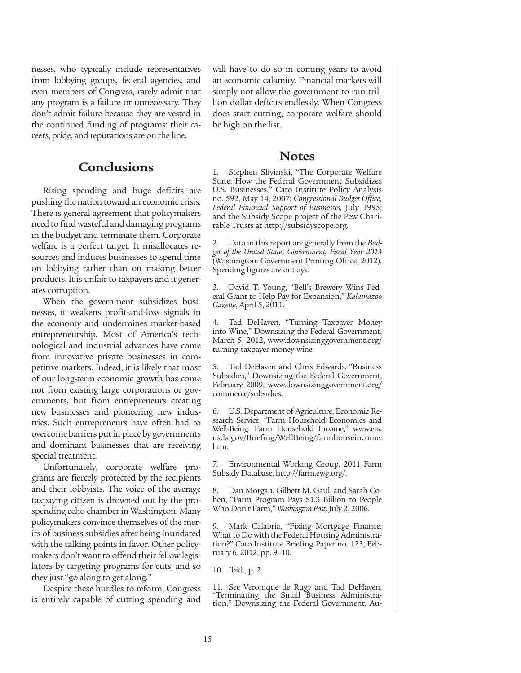nesses, who typically include representatives from lobbying groups, federal agencies, and even members of Congress, rarely admit that any program is a failure or unnecessary. They don't admit failure because they are vested in the continued funding of programs: their careers, pride, and reputations are on the line.

#### **Conclusions**

Rising spending and huge deficits are pushing the nation toward an economic crisis. There is general agreement that policymakers need to find wasteful and damaging programs in the budget and terminate them. Corporate welfare is a perfect target. It misallocates resources and induces businesses to spend time on lobbying rather than on making better products. It is unfair to taxpayers and it generates corruption.

When the government subsidizes businesses, it weakens profit-and-loss signals in the economy and undermines market-based entrepreneurship. Most of America's technological and industrial advances have come from innovative private businesses in competitive markets. Indeed, it is likely that most of our long-term economic growth has come not from existing large corporations or governments, but from entrepreneurs creating new businesses and pioneering new industries. Such entrepreneurs have often had to overcome barriers put in place by governments and dominant businesses that are receiving special treatment.

Unfortunately, corporate welfare programs are fiercely protected by the recipients and their lobbyists. The voice of the average taxpaying citizen is drowned out by the prospending echo chamber in Washington. Many policymakers convince themselves of the merits of business subsidies after being inundated with the talking points in favor. Other policymakers don't want to offend their fellow legislators by targeting programs for cuts, and so they just "go along to get along."

Despite these hurdles to reform, Congress is entirely capable of cutting spending and will have to do so in coming years to avoid an economic calamity. Financial markets will simply not allow the government to run trillion dollar deficits endlessly. When Congress does start cutting, corporate welfare should be high on the list.

#### **Notes**

1. Stephen Slivinski, "The Corporate Welfare State: How the Federal Government Subsidizes U.S. Businesses," Cato Institute Policy Analysis no. 592, May 14, 2007; *Congressional Budget Office, Federal Financial Support of Businesses,* July 1995; and the Subsidy Scope project of the Pew Charitable Trusts at http://subsidyscope.org.

2. Data in this report are generally from the *Budget of the United States Government, Fiscal Year 2013* (Washington: Government Printing Office, 2012). Spending figures are outlays.

3. David T. Young, "Bell's Brewery Wins Federal Grant to Help Pay for Expansion," *Kalamazoo Gazette*, April 5, 2011.

4. Tad DeHaven, "Turning Taxpayer Money into Wine," Downsizing the Federal Government, March 5, 2012, www.downsizinggovernment.org/ turning-taxpayer-money-wine.

5. Tad DeHaven and Chris Edwards, "Business Subsidies," Downsizing the Federal Government, February 2009, www.downsizinggovernment.org/ commerce/subsidies.

6. U.S. Department of Agriculture, Economic Research Service, "Farm Household Economics and Well-Being: Farm Household Income," www.ers. usda.gov/Briefing/WellBeing/farmhouseincome. htm.

7. Environmental Working Group, 2011 Farm Subsidy Database, http://farm.ewg.org/.

8. Dan Morgan, Gilbert M. Gaul, and Sarah Cohen, "Farm Program Pays \$1.3 Billion to People Who Don't Farm," *Washington Post*, July 2, 2006.

9. Mark Calabria, "Fixing Mortgage Finance: What to Do with the Federal Housing Administration?" Cato Institute Briefing Paper no. 123, February 6, 2012, pp. 9–10.

10. Ibid., p. 2.

11. See Veronique de Rugy and Tad DeHaven, "Terminating the Small Business Administra- tion," Downsizing the Federal Government, Au-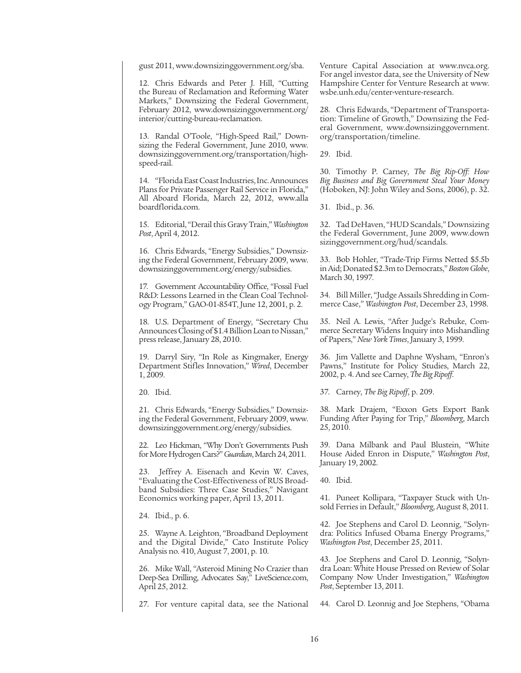gust 2011, www.downsizinggovernment.org/sba.

12. Chris Edwards and Peter J. Hill, "Cutting the Bureau of Reclamation and Reforming Water Markets," Downsizing the Federal Government, February 2012, www.downsizinggovernment.org/ interior/cutting-bureau-reclamation.

13. Randal O'Toole, "High-Speed Rail," Downsizing the Federal Government, June 2010, www. downsizinggovernment.org/transportation/highspeed-rail.

14. "Florida East Coast Industries, Inc. Announces Plans for Private Passenger Rail Service in Florida," All Aboard Florida, March 22, 2012, www.alla boardflorida.com.

15. Editorial, "Derail this Gravy Train," *Washington Post*, April 4, 2012.

16. Chris Edwards, "Energy Subsidies," Downsizing the Federal Government, February 2009, www. downsizinggovernment.org/energy/subsidies.

17. Government Accountability Office, "Fossil Fuel R&D: Lessons Learned in the Clean Coal Technology Program," GAO-01-854T, June 12, 2001, p. 2.

18. U.S. Department of Energy, "Secretary Chu Announces Closing of \$1.4 Billion Loan to Nissan," press release, January 28, 2010.

19. Darryl Siry, "In Role as Kingmaker, Energy Department Stifles Innovation," *Wired*, December 1, 2009.

20. Ibid.

21. Chris Edwards, "Energy Subsidies," Downsizing the Federal Government, February 2009, www. downsizinggovernment.org/energy/subsidies.

22. Leo Hickman, "Why Don't Governments Push for More Hydrogen Cars?" *Guardian*, March 24, 2011.

23. Jeffrey A. Eisenach and Kevin W. Caves, "Evaluating the Cost-Effectiveness of RUS Broadband Subsidies: Three Case Studies," Navigant Economics working paper, April 13, 2011.

24. Ibid., p. 6.

25. Wayne A. Leighton, "Broadband Deployment and the Digital Divide," Cato Institute Policy Analysis no. 410, August 7, 2001, p. 10.

26. Mike Wall, "Asteroid Mining No Crazier than Deep-Sea Drilling, Advocates Say," LiveScience.com, April 25, 2012.

27. For venture capital data, see the National

Venture Capital Association at www.nvca.org. For angel investor data, see the University of New Hampshire Center for Venture Research at www. wsbe.unh.edu/center-venture-research.

28. Chris Edwards, "Department of Transportation: Timeline of Growth," Downsizing the Federal Government, www.downsizinggovernment. org/transportation/timeline.

29. Ibid.

30. Timothy P. Carney, *The Big Rip-Off: How Big Business and Big Government Steal Your Money* (Hoboken, NJ: John Wiley and Sons, 2006), p. 32.

31. Ibid., p. 36.

32. Tad DeHaven, "HUD Scandals," Downsizing the Federal Government, June 2009, www.down sizinggovernment.org/hud/scandals.

33. Bob Hohler, "Trade-Trip Firms Netted \$5.5b in Aid; Donated \$2.3m to Democrats," *Boston Globe*, March 30, 1997.

34. Bill Miller, "Judge Assails Shredding in Commerce Case," *Washington Post*, December 23, 1998.

35. Neil A. Lewis, "After Judge's Rebuke, Commerce Secretary Widens Inquiry into Mishandling of Papers," *New York Times*, January 3, 1999.

36. Jim Vallette and Daphne Wysham, "Enron's Pawns," Institute for Policy Studies, March 22, 2002, p. 4. And see Carney, *The Big Ripoff*.

37. Carney, *The Big Ripoff*, p. 209.

38. Mark Drajem, "Exxon Gets Export Bank Funding After Paying for Trip," *Bloomberg*, March 25, 2010.

39. Dana Milbank and Paul Blustein, "White House Aided Enron in Dispute," *Washington Post*, January 19, 2002.

40. Ibid.

41. Puneet Kollipara, "Taxpayer Stuck with Unsold Ferries in Default," *Bloomberg*, August 8, 2011.

42. Joe Stephens and Carol D. Leonnig, "Solyndra: Politics Infused Obama Energy Programs," *Washington Post*, December 25, 2011.

43. Joe Stephens and Carol D. Leonnig, "Solyndra Loan: White House Pressed on Review of Solar Company Now Under Investigation," *Washington Post*, September 13, 2011.

44. Carol D. Leonnig and Joe Stephens, "Obama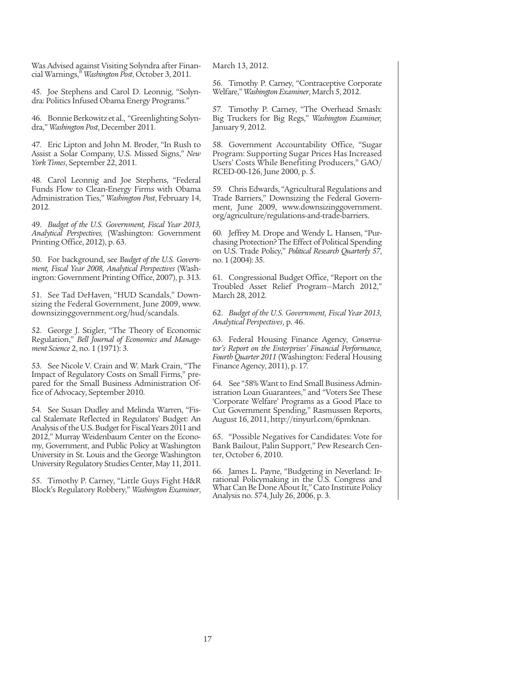Was Advised against Visiting Solyndra after Financial Warnings," *Washington Post*, October 3, 2011.

45. Joe Stephens and Carol D. Leonnig, "Solyndra: Politics Infused Obama Energy Programs."

46. Bonnie Berkowitz et al., "Greenlighting Solyndra," *Washington Post*, December 2011.

47. Eric Lipton and John M. Broder, "In Rush to Assist a Solar Company, U.S. Missed Signs," *New York Times*, September 22, 2011.

48. Carol Leonnig and Joe Stephens, "Federal Funds Flow to Clean-Energy Firms with Obama Administration Ties," *Washington Post*, February 14, 2012.

49. *Budget of the U.S. Government, Fiscal Year 2013, Analytical Perspectives,* (Washington: Government Printing Office, 2012), p. 63.

50. For background, see B*udget of the U.S. Government, Fiscal Year 2008, Analytical Perspectives* (Washington: Government Printing Office, 2007), p. 313.

51. See Tad DeHaven, "HUD Scandals," Downsizing the Federal Government, June 2009, www. downsizinggovernment.org/hud/scandals.

52. George J. Stigler, "The Theory of Economic Regulation," *Bell Journal of Economics and Management Science* 2, no. 1 (1971): 3.

53. See Nicole V. Crain and W. Mark Crain, "The Impact of Regulatory Costs on Small Firms," prepared for the Small Business Administration Office of Advocacy, September 2010.

54. See Susan Dudley and Melinda Warren, "Fiscal Stalemate Reflected in Regulators' Budget: An Analysis of the U.S. Budget for Fiscal Years 2011 and 2012," Murray Weidenbaum Center on the Economy, Government, and Public Policy at Washington University in St. Louis and the George Washington University Regulatory Studies Center, May 11, 2011.

55. Timothy P. Carney, "Little Guys Fight H&R Block's Regulatory Robbery," *Washington Examiner*, March 13, 2012.

56. Timothy P. Carney, "Contraceptive Corporate Welfare," *Washington Examiner*, March 5, 2012.

57. Timothy P. Carney, "The Overhead Smash: Big Truckers for Big Regs," *Washington Examiner,* January 9, 2012.

58. Government Accountability Office, "Sugar Program: Supporting Sugar Prices Has Increased Users' Costs While Benefiting Producers," GAO/ RCED-00-126, June 2000, p. 5.

59. Chris Edwards, "Agricultural Regulations and Trade Barriers," Downsizing the Federal Government, June 2009, www.downsizinggovernment. org/agriculture/regulations-and-trade-barriers.

60. Jeffrey M. Drope and Wendy L. Hansen, "Purchasing Protection? The Effect of Political Spending on U.S. Trade Policy," *Political Research Quarterly 57*, no. 1 (2004): 35.

61. Congressional Budget Office, "Report on the Troubled Asset Relief Program—March 2012," March 28, 2012.

62. *Budget of the U.S. Government, Fiscal Year 2013, Analytical Perspectives*, p. 46.

63. Federal Housing Finance Agency, *Conservator's Report on the Enterprises' Financial Performance, Fourth Quarter 2011* (Washington: Federal Housing Finance Agency, 2011), p. 17.

64. See "58% Want to End Small Business Administration Loan Guarantees," and "Voters See These 'Corporate Welfare' Programs as a Good Place to Cut Government Spending," Rasmussen Reports, August 16, 2011, http://tinyurl.com/6pmknan.

65. "Possible Negatives for Candidates: Vote for Bank Bailout, Palin Support," Pew Research Center, October 6, 2010.

66. James L. Payne, "Budgeting in Neverland: Ir- rational Policymaking in the U.S. Congress and What Can Be Done About It," Cato Institute Policy Analysis no. 574, July 26, 2006, p. 3.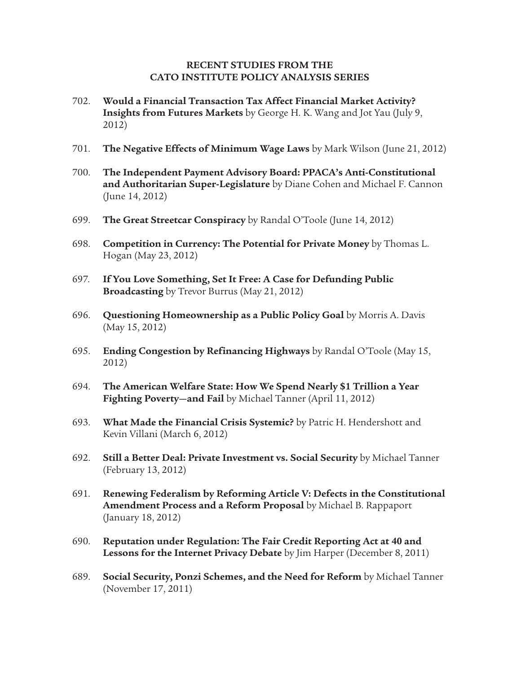#### **RECENT STUDIES FROM THE CATO INSTITUTE POLICY ANALYSIS SERIES**

- 702. **Would a Financial Transaction Tax Affect Financial Market Activity? Insights from Futures Markets** by George H. K. Wang and Jot Yau (July 9, 2012)
- 701. **The Negative Effects of Minimum Wage Laws** by Mark Wilson (June 21, 2012)
- 700. **The Independent Payment Advisory Board: PPACA's Anti-Constitutional and Authoritarian Super-Legislature** by Diane Cohen and Michael F. Cannon (June 14, 2012)
- 699. **The Great Streetcar Conspiracy** by Randal O'Toole (June 14, 2012)
- 698. **Competition in Currency: The Potential for Private Money** by Thomas L. Hogan (May 23, 2012)
- 697. **If You Love Something, Set It Free: A Case for Defunding Public Broadcasting** by Trevor Burrus (May 21, 2012)
- 696. **Questioning Homeownership as a Public Policy Goal** by Morris A. Davis (May 15, 2012)
- 695. **Ending Congestion by Refinancing Highways** by Randal O'Toole (May 15, 2012)
- 694. **The American Welfare State: How We Spend Nearly \$1 Trillion a Year Fighting Poverty—and Fail** by Michael Tanner (April 11, 2012)
- 693. **What Made the Financial Crisis Systemic?** by Patric H. Hendershott and Kevin Villani (March 6, 2012)
- 692. **Still a Better Deal: Private Investment vs. Social Security** by Michael Tanner (February 13, 2012)
- 691. **Renewing Federalism by Reforming Article V: Defects in the Constitutional Amendment Process and a Reform Proposal** by Michael B. Rappaport (January 18, 2012)
- 690. **Reputation under Regulation: The Fair Credit Reporting Act at 40 and Lessons for the Internet Privacy Debate** by Jim Harper (December 8, 2011)
- 689. **Social Security, Ponzi Schemes, and the Need for Reform** by Michael Tanner (November 17, 2011)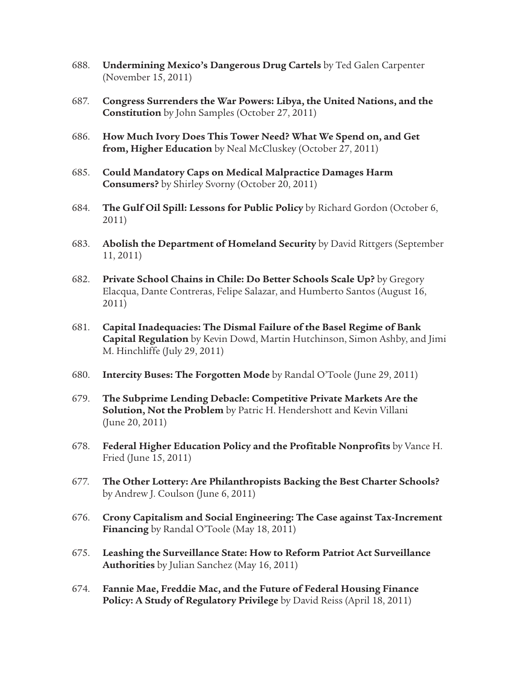- 688. **Undermining Mexico's Dangerous Drug Cartels** by Ted Galen Carpenter (November 15, 2011)
- 687. **Congress Surrenders the War Powers: Libya, the United Nations, and the Constitution** by John Samples (October 27, 2011)
- 686. **How Much Ivory Does This Tower Need? What We Spend on, and Get from, Higher Education** by Neal McCluskey (October 27, 2011)
- 685. **Could Mandatory Caps on Medical Malpractice Damages Harm Consumers?** by Shirley Svorny (October 20, 2011)
- 684. **The Gulf Oil Spill: Lessons for Public Policy** by Richard Gordon (October 6, 2011)
- 683. **Abolish the Department of Homeland Security** by David Rittgers (September 11, 2011)
- 682. **Private School Chains in Chile: Do Better Schools Scale Up?** by Gregory Elacqua, Dante Contreras, Felipe Salazar, and Humberto Santos (August 16, 2011)
- 681. **Capital Inadequacies: The Dismal Failure of the Basel Regime of Bank Capital Regulation** by Kevin Dowd, Martin Hutchinson, Simon Ashby, and Jimi M. Hinchliffe (July 29, 2011)
- 680. **Intercity Buses: The Forgotten Mode** by Randal O'Toole (June 29, 2011)
- 679. **The Subprime Lending Debacle: Competitive Private Markets Are the Solution, Not the Problem** by Patric H. Hendershott and Kevin Villani (June 20, 2011)
- 678. **Federal Higher Education Policy and the Profitable Nonprofits** by Vance H. Fried (June 15, 2011)
- 677. **The Other Lottery: Are Philanthropists Backing the Best Charter Schools?** by Andrew J. Coulson (June 6, 2011)
- 676. **Crony Capitalism and Social Engineering: The Case against Tax-Increment Financing** by Randal O'Toole (May 18, 2011)
- 675. **Leashing the Surveillance State: How to Reform Patriot Act Surveillance Authorities** by Julian Sanchez (May 16, 2011)
- 674. **Fannie Mae, Freddie Mac, and the Future of Federal Housing Finance Policy: A Study of Regulatory Privilege** by David Reiss (April 18, 2011)